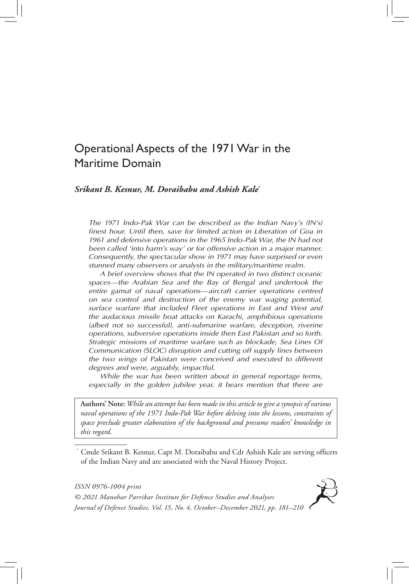# Operational Aspects of the 1971 War in the Maritime Domain

# *Srikant B. Kesnur, M. Doraibabu and Ashish Kale***\***

*The 1971 Indo-Pak War can be described as the Indian Navy's (IN's) finest hour. Until then, save for limited action in Liberation of Goa in 1961 and defensive operations in the 1965 Indo-Pak War, the IN had not been called 'into harm's way' or for offensive action in a major manner. Consequently, the spectacular show in 1971 may have surprised or even stunned many observers or analysts in the military/maritime realm.* 

 *A brief overview shows that the IN operated in two distinct oceanic spaces—the Arabian Sea and the Bay of Bengal and undertook the entire gamut of naval operations—aircraft carrier operations centred on sea control and destruction of the enemy war waging potential, surface warfare that included Fleet operations in East and West and the audacious missile boat attacks on Karachi, amphibious operations (albeit not so successful), anti-submarine warfare, deception, riverine operations, subversive operations inside then East Pakistan and so forth. Strategic missions of maritime warfare such as blockade, Sea Lines Of Communication (SLOC) disruption and cutting off supply lines between the two wings of Pakistan were conceived and executed to different degrees and were, arguably, impactful.* 

 *While the war has been written about in general reportage terms,*  especially in the golden jubilee year, it bears mention that there are

**Authors' Note:** *While an attempt has been made in this article to give a synopsis of various naval operations of the 1971 Indo-Pak War before delving into the lessons, constraints of space preclude greater elaboration of the background and presume readers' knowledge in this regard*.

\* Cmde Srikant B. Kesnur, Capt M. Doraibabu and Cdr Ashish Kale are serving officers of the Indian Navy and are associated with the Naval History Project.

*ISSN 0976-1004 print*



*© 2021 Manohar Parrikar Institute for Defence Studies and Analyses Journal of Defence Studies, Vol. 15, No. 4, October–December 2021, pp. 181–210*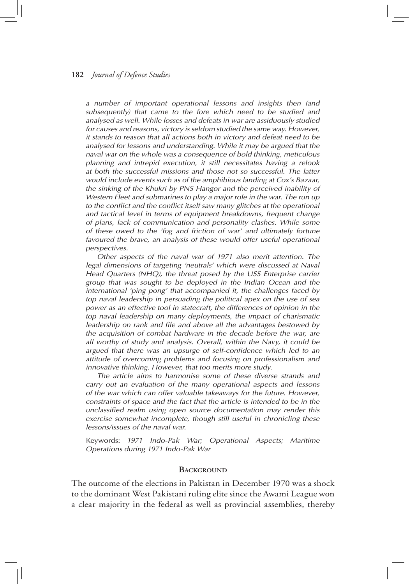*a number of important operational lessons and insights then (and subsequently) that came to the fore which need to be studied and analysed as well. While losses and defeats in war are assiduously studied for causes and reasons, victory is seldom studied the same way. However, it stands to reason that all actions both in victory and defeat need to be analysed for lessons and understanding. While it may be argued that the naval war on the whole was a consequence of bold thinking, meticulous planning and intrepid execution, it still necessitates having a relook at both the successful missions and those not so successful. The latter would include events such as of the amphibious landing at Cox's Bazaar, the sinking of the Khukri by PNS Hangor and the perceived inability of Western Fleet and submarines to play a major role in the war. The run up*  to the conflict and the conflict itself saw many glitches at the operational *and tactical level in terms of equipment breakdowns, frequent change of plans, lack of communication and personality clashes. While some of these owed to the 'fog and friction of war' and ultimately fortune*  favoured the brave, an analysis of these would offer useful operational *perspectives.* 

 *Other aspects of the naval war of 1971 also merit attention. The*  legal dimensions of targeting 'neutrals' which were discussed at Naval *Head Quarters (NHQ), the threat posed by the USS Enterprise carrier group that was sought to be deployed in the Indian Ocean and the international 'ping pong' that accompanied it, the challenges faced by top naval leadership in persuading the political apex on the use of sea*  power as an effective tool in statecraft, the differences of opinion in the *top naval leadership on many deployments, the impact of charismatic leadership on rank and file and above all the advantages bestowed by the acquisition of combat hardware in the decade before the war, are all worthy of study and analysis. Overall, within the Navy, it could be argued that there was an upsurge of self-confidence which led to an attitude of overcoming problems and focusing on professionalism and innovative thinking. However, that too merits more study.*

 *The article aims to harmonise some of these diverse strands and carry out an evaluation of the many operational aspects and lessons of the war which can offer valuable takeaways for the future. However, constraints of space and the fact that the article is intended to be in the unclassified realm using open source documentation may render this exercise somewhat incomplete, though still useful in chronicling these lessons/issues of the naval war.*

Keywords: *1971 Indo-Pak War; Operational Aspects; Maritime Operations during 1971 Indo-Pak War*

### **BACKGROUND**

The outcome of the elections in Pakistan in December 1970 was a shock to the dominant West Pakistani ruling elite since the Awami League won a clear majority in the federal as well as provincial assemblies, thereby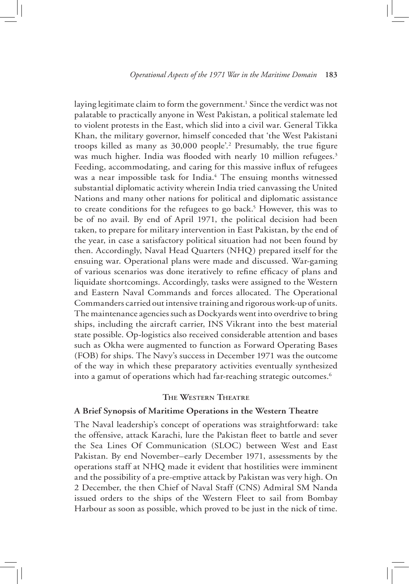laying legitimate claim to form the government.<sup>1</sup> Since the verdict was not palatable to practically anyone in West Pakistan, a political stalemate led to violent protests in the East, which slid into a civil war. General Tikka Khan, the military governor, himself conceded that 'the West Pakistani troops killed as many as 30,000 people'.<sup>2</sup> Presumably, the true figure was much higher. India was flooded with nearly 10 million refugees.<sup>3</sup> Feeding, accommodating, and caring for this massive influx of refugees was a near impossible task for India.<sup>4</sup> The ensuing months witnessed substantial diplomatic activity wherein India tried canvassing the United Nations and many other nations for political and diplomatic assistance to create conditions for the refugees to go back.<sup>5</sup> However, this was to be of no avail. By end of April 1971, the political decision had been taken, to prepare for military intervention in East Pakistan, by the end of the year, in case a satisfactory political situation had not been found by then. Accordingly, Naval Head Quarters (NHQ) prepared itself for the ensuing war. Operational plans were made and discussed. War-gaming of various scenarios was done iteratively to refine efficacy of plans and liquidate shortcomings. Accordingly, tasks were assigned to the Western and Eastern Naval Commands and forces allocated. The Operational Commanders carried out intensive training and rigorous work-up of units. The maintenance agencies such as Dockyards went into overdrive to bring ships, including the aircraft carrier, INS Vikrant into the best material state possible. Op-logistics also received considerable attention and bases such as Okha were augmented to function as Forward Operating Bases (FOB) for ships. The Navy's success in December 1971 was the outcome of the way in which these preparatory activities eventually synthesized into a gamut of operations which had far-reaching strategic outcomes.<sup>6</sup>

### **The Western Theatre**

### **A Brief Synopsis of Maritime Operations in the Western Theatre**

The Naval leadership's concept of operations was straightforward: take the offensive, attack Karachi, lure the Pakistan fleet to battle and sever the Sea Lines Of Communication (SLOC) between West and East Pakistan. By end November–early December 1971, assessments by the operations staff at NHQ made it evident that hostilities were imminent and the possibility of a pre-emptive attack by Pakistan was very high. On 2 December, the then Chief of Naval Staff (CNS) Admiral SM Nanda issued orders to the ships of the Western Fleet to sail from Bombay Harbour as soon as possible, which proved to be just in the nick of time.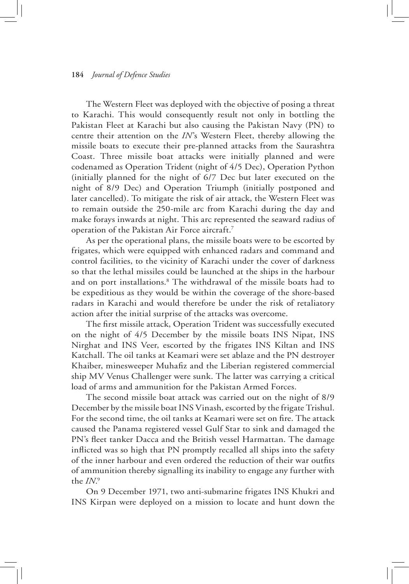The Western Fleet was deployed with the objective of posing a threat to Karachi. This would consequently result not only in bottling the Pakistan Fleet at Karachi but also causing the Pakistan Navy (PN) to centre their attention on the *IN*'s Western Fleet, thereby allowing the missile boats to execute their pre-planned attacks from the Saurashtra Coast. Three missile boat attacks were initially planned and were codenamed as Operation Trident (night of 4/5 Dec), Operation Python (initially planned for the night of 6/7 Dec but later executed on the night of 8/9 Dec) and Operation Triumph (initially postponed and later cancelled). To mitigate the risk of air attack, the Western Fleet was to remain outside the 250-mile arc from Karachi during the day and make forays inwards at night. This arc represented the seaward radius of operation of the Pakistan Air Force aircraft.7

As per the operational plans, the missile boats were to be escorted by frigates, which were equipped with enhanced radars and command and control facilities, to the vicinity of Karachi under the cover of darkness so that the lethal missiles could be launched at the ships in the harbour and on port installations.8 The withdrawal of the missile boats had to be expeditious as they would be within the coverage of the shore-based radars in Karachi and would therefore be under the risk of retaliatory action after the initial surprise of the attacks was overcome.

The first missile attack, Operation Trident was successfully executed on the night of 4/5 December by the missile boats INS Nipat, INS Nirghat and INS Veer, escorted by the frigates INS Kiltan and INS Katchall. The oil tanks at Keamari were set ablaze and the PN destroyer Khaiber, minesweeper Muhafiz and the Liberian registered commercial ship MV Venus Challenger were sunk. The latter was carrying a critical load of arms and ammunition for the Pakistan Armed Forces.

The second missile boat attack was carried out on the night of 8/9 December by the missile boat INS Vinash, escorted by the frigate Trishul. For the second time, the oil tanks at Keamari were set on fire. The attack caused the Panama registered vessel Gulf Star to sink and damaged the PN's fleet tanker Dacca and the British vessel Harmattan. The damage inflicted was so high that PN promptly recalled all ships into the safety of the inner harbour and even ordered the reduction of their war outfits of ammunition thereby signalling its inability to engage any further with the *IN*. 9

On 9 December 1971, two anti-submarine frigates INS Khukri and INS Kirpan were deployed on a mission to locate and hunt down the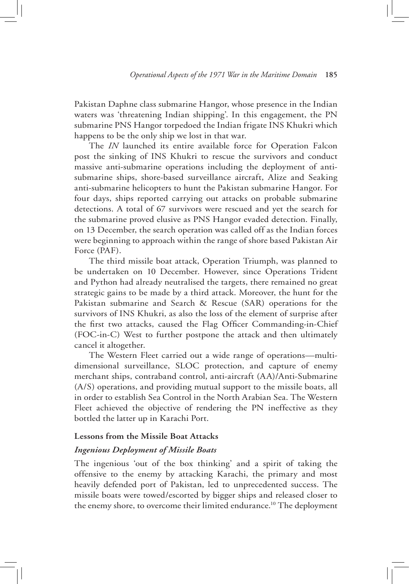Pakistan Daphne class submarine Hangor, whose presence in the Indian waters was 'threatening Indian shipping'. In this engagement, the PN submarine PNS Hangor torpedoed the Indian frigate INS Khukri which happens to be the only ship we lost in that war.

The *IN* launched its entire available force for Operation Falcon post the sinking of INS Khukri to rescue the survivors and conduct massive anti-submarine operations including the deployment of antisubmarine ships, shore-based surveillance aircraft, Alize and Seaking anti-submarine helicopters to hunt the Pakistan submarine Hangor. For four days, ships reported carrying out attacks on probable submarine detections. A total of 67 survivors were rescued and yet the search for the submarine proved elusive as PNS Hangor evaded detection. Finally, on 13 December, the search operation was called off as the Indian forces were beginning to approach within the range of shore based Pakistan Air Force (PAF).

The third missile boat attack, Operation Triumph, was planned to be undertaken on 10 December. However, since Operations Trident and Python had already neutralised the targets, there remained no great strategic gains to be made by a third attack. Moreover, the hunt for the Pakistan submarine and Search & Rescue (SAR) operations for the survivors of INS Khukri, as also the loss of the element of surprise after the first two attacks, caused the Flag Officer Commanding-in-Chief (FOC-in-C) West to further postpone the attack and then ultimately cancel it altogether.

The Western Fleet carried out a wide range of operations—multidimensional surveillance, SLOC protection, and capture of enemy merchant ships, contraband control, anti-aircraft (AA)/Anti-Submarine (A/S) operations, and providing mutual support to the missile boats, all in order to establish Sea Control in the North Arabian Sea. The Western Fleet achieved the objective of rendering the PN ineffective as they bottled the latter up in Karachi Port.

### **Lessons from the Missile Boat Attacks**

### *Ingenious Deployment of Missile Boats*

The ingenious 'out of the box thinking' and a spirit of taking the offensive to the enemy by attacking Karachi, the primary and most heavily defended port of Pakistan, led to unprecedented success. The missile boats were towed/escorted by bigger ships and released closer to the enemy shore, to overcome their limited endurance.<sup>10</sup> The deployment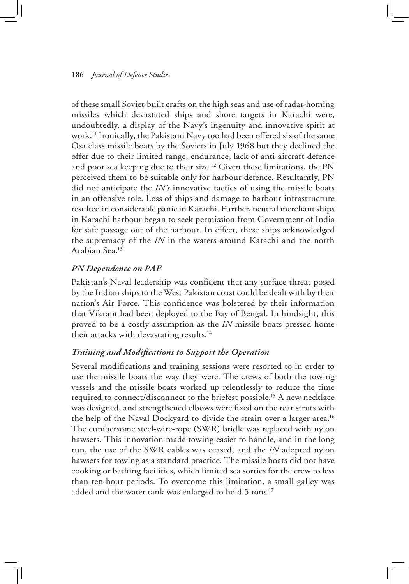of these small Soviet-built crafts on the high seas and use of radar-homing missiles which devastated ships and shore targets in Karachi were, undoubtedly, a display of the Navy's ingenuity and innovative spirit at work.11 Ironically, the Pakistani Navy too had been offered six of the same Osa class missile boats by the Soviets in July 1968 but they declined the offer due to their limited range, endurance, lack of anti-aircraft defence and poor sea keeping due to their size.12 Given these limitations, the PN perceived them to be suitable only for harbour defence. Resultantly, PN did not anticipate the *IN's* innovative tactics of using the missile boats in an offensive role. Loss of ships and damage to harbour infrastructure resulted in considerable panic in Karachi. Further, neutral merchant ships in Karachi harbour began to seek permission from Government of India for safe passage out of the harbour. In effect, these ships acknowledged the supremacy of the *IN* in the waters around Karachi and the north Arabian Sea.13

# *PN Dependence on PAF*

Pakistan's Naval leadership was confident that any surface threat posed by the Indian ships to the West Pakistan coast could be dealt with by their nation's Air Force. This confidence was bolstered by their information that Vikrant had been deployed to the Bay of Bengal. In hindsight, this proved to be a costly assumption as the *IN* missile boats pressed home their attacks with devastating results.14

### *Training and Modifications to Support the Operation*

Several modifications and training sessions were resorted to in order to use the missile boats the way they were. The crews of both the towing vessels and the missile boats worked up relentlessly to reduce the time required to connect/disconnect to the briefest possible.15 A new necklace was designed, and strengthened elbows were fixed on the rear struts with the help of the Naval Dockyard to divide the strain over a larger area.<sup>16</sup> The cumbersome steel-wire-rope (SWR) bridle was replaced with nylon hawsers. This innovation made towing easier to handle, and in the long run, the use of the SWR cables was ceased, and the *IN* adopted nylon hawsers for towing as a standard practice. The missile boats did not have cooking or bathing facilities, which limited sea sorties for the crew to less than ten-hour periods. To overcome this limitation, a small galley was added and the water tank was enlarged to hold 5 tons.<sup>17</sup>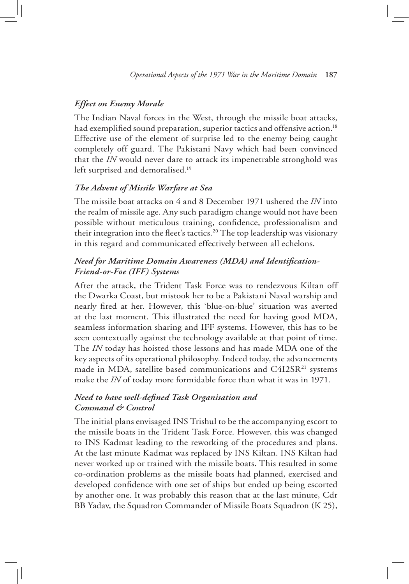### *Effect on Enemy Morale*

The Indian Naval forces in the West, through the missile boat attacks, had exemplified sound preparation, superior tactics and offensive action.<sup>18</sup> Effective use of the element of surprise led to the enemy being caught completely off guard. The Pakistani Navy which had been convinced that the *IN* would never dare to attack its impenetrable stronghold was left surprised and demoralised.<sup>19</sup>

### *The Advent of Missile Warfare at Sea*

The missile boat attacks on 4 and 8 December 1971 ushered the *IN* into the realm of missile age. Any such paradigm change would not have been possible without meticulous training, confidence, professionalism and their integration into the fleet's tactics.<sup>20</sup> The top leadership was visionary in this regard and communicated effectively between all echelons.

# *Need for Maritime Domain Awareness (MDA) and Identification-Friend-or-Foe (IFF) Systems*

After the attack, the Trident Task Force was to rendezvous Kiltan off the Dwarka Coast, but mistook her to be a Pakistani Naval warship and nearly fired at her. However, this 'blue-on-blue' situation was averted at the last moment. This illustrated the need for having good MDA, seamless information sharing and IFF systems. However, this has to be seen contextually against the technology available at that point of time. The *IN* today has hoisted those lessons and has made MDA one of the key aspects of its operational philosophy. Indeed today, the advancements made in MDA, satellite based communications and C4I2SR<sup>21</sup> systems make the *IN* of today more formidable force than what it was in 1971.

# *Need to have well-defined Task Organisation and Command & Control*

The initial plans envisaged INS Trishul to be the accompanying escort to the missile boats in the Trident Task Force. However, this was changed to INS Kadmat leading to the reworking of the procedures and plans. At the last minute Kadmat was replaced by INS Kiltan. INS Kiltan had never worked up or trained with the missile boats. This resulted in some co-ordination problems as the missile boats had planned, exercised and developed confidence with one set of ships but ended up being escorted by another one. It was probably this reason that at the last minute, Cdr BB Yadav, the Squadron Commander of Missile Boats Squadron (K 25),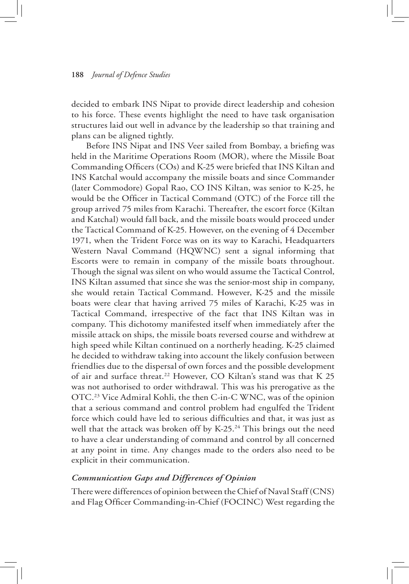decided to embark INS Nipat to provide direct leadership and cohesion to his force. These events highlight the need to have task organisation structures laid out well in advance by the leadership so that training and plans can be aligned tightly.

Before INS Nipat and INS Veer sailed from Bombay, a briefing was held in the Maritime Operations Room (MOR), where the Missile Boat Commanding Officers (COs) and K-25 were briefed that INS Kiltan and INS Katchal would accompany the missile boats and since Commander (later Commodore) Gopal Rao, CO INS Kiltan, was senior to K-25, he would be the Officer in Tactical Command (OTC) of the Force till the group arrived 75 miles from Karachi. Thereafter, the escort force (Kiltan and Katchal) would fall back, and the missile boats would proceed under the Tactical Command of K-25. However, on the evening of 4 December 1971, when the Trident Force was on its way to Karachi, Headquarters Western Naval Command (HQWNC) sent a signal informing that Escorts were to remain in company of the missile boats throughout. Though the signal was silent on who would assume the Tactical Control, INS Kiltan assumed that since she was the senior-most ship in company, she would retain Tactical Command. However, K-25 and the missile boats were clear that having arrived 75 miles of Karachi, K-25 was in Tactical Command, irrespective of the fact that INS Kiltan was in company. This dichotomy manifested itself when immediately after the missile attack on ships, the missile boats reversed course and withdrew at high speed while Kiltan continued on a northerly heading. K-25 claimed he decided to withdraw taking into account the likely confusion between friendlies due to the dispersal of own forces and the possible development of air and surface threat.<sup>22</sup> However, CO Kiltan's stand was that K 25 was not authorised to order withdrawal. This was his prerogative as the OTC.23 Vice Admiral Kohli, the then C-in-C WNC, was of the opinion that a serious command and control problem had engulfed the Trident force which could have led to serious difficulties and that, it was just as well that the attack was broken off by K-25.<sup>24</sup> This brings out the need to have a clear understanding of command and control by all concerned at any point in time. Any changes made to the orders also need to be explicit in their communication.

### *Communication Gaps and Differences of Opinion*

There were differences of opinion between the Chief of Naval Staff (CNS) and Flag Officer Commanding-in-Chief (FOCINC) West regarding the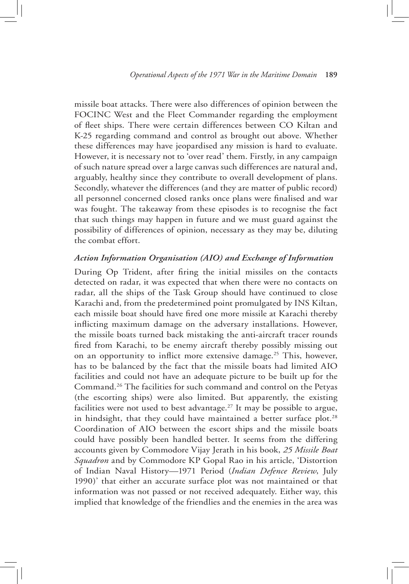missile boat attacks. There were also differences of opinion between the FOCINC West and the Fleet Commander regarding the employment of fleet ships. There were certain differences between CO Kiltan and K-25 regarding command and control as brought out above. Whether these differences may have jeopardised any mission is hard to evaluate. However, it is necessary not to 'over read' them. Firstly, in any campaign of such nature spread over a large canvas such differences are natural and, arguably, healthy since they contribute to overall development of plans. Secondly, whatever the differences (and they are matter of public record) all personnel concerned closed ranks once plans were finalised and war was fought. The takeaway from these episodes is to recognise the fact that such things may happen in future and we must guard against the possibility of differences of opinion, necessary as they may be, diluting the combat effort.

### *Action Information Organisation (AIO) and Exchange of Information*

During Op Trident, after firing the initial missiles on the contacts detected on radar, it was expected that when there were no contacts on radar, all the ships of the Task Group should have continued to close Karachi and, from the predetermined point promulgated by INS Kiltan, each missile boat should have fired one more missile at Karachi thereby inflicting maximum damage on the adversary installations. However, the missile boats turned back mistaking the anti-aircraft tracer rounds fired from Karachi, to be enemy aircraft thereby possibly missing out on an opportunity to inflict more extensive damage.<sup>25</sup> This, however, has to be balanced by the fact that the missile boats had limited AIO facilities and could not have an adequate picture to be built up for the Command.26 The facilities for such command and control on the Petyas (the escorting ships) were also limited. But apparently, the existing facilities were not used to best advantage.<sup>27</sup> It may be possible to argue, in hindsight, that they could have maintained a better surface plot. $28$ Coordination of AIO between the escort ships and the missile boats could have possibly been handled better. It seems from the differing accounts given by Commodore Vijay Jerath in his book, *25 Missile Boat Squadron* and by Commodore KP Gopal Rao in his article, 'Distortion of Indian Naval History—1971 Period (*Indian Defence Review*, July 1990)' that either an accurate surface plot was not maintained or that information was not passed or not received adequately. Either way, this implied that knowledge of the friendlies and the enemies in the area was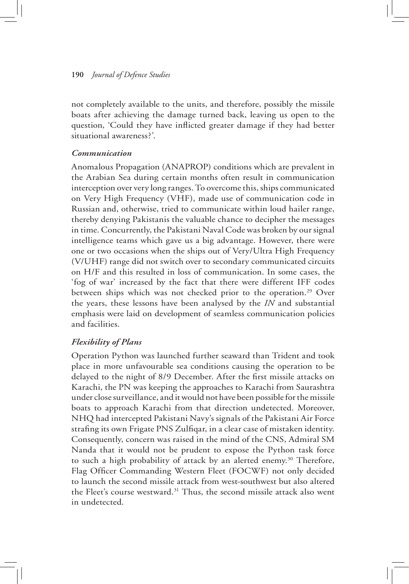not completely available to the units, and therefore, possibly the missile boats after achieving the damage turned back, leaving us open to the question, 'Could they have inflicted greater damage if they had better situational awareness?'.

# *Communication*

Anomalous Propagation (ANAPROP) conditions which are prevalent in the Arabian Sea during certain months often result in communication interception over very long ranges. To overcome this, ships communicated on Very High Frequency (VHF), made use of communication code in Russian and, otherwise, tried to communicate within loud hailer range, thereby denying Pakistanis the valuable chance to decipher the messages in time. Concurrently, the Pakistani Naval Code was broken by our signal intelligence teams which gave us a big advantage. However, there were one or two occasions when the ships out of Very/Ultra High Frequency (V/UHF) range did not switch over to secondary communicated circuits on H/F and this resulted in loss of communication. In some cases, the 'fog of war' increased by the fact that there were different IFF codes between ships which was not checked prior to the operation.<sup>29</sup> Over the years, these lessons have been analysed by the *IN* and substantial emphasis were laid on development of seamless communication policies and facilities.

# *Flexibility of Plans*

Operation Python was launched further seaward than Trident and took place in more unfavourable sea conditions causing the operation to be delayed to the night of 8/9 December. After the first missile attacks on Karachi, the PN was keeping the approaches to Karachi from Saurashtra under close surveillance, and it would not have been possible for the missile boats to approach Karachi from that direction undetected. Moreover, NHQ had intercepted Pakistani Navy's signals of the Pakistani Air Force strafing its own Frigate PNS Zulfiqar, in a clear case of mistaken identity. Consequently, concern was raised in the mind of the CNS, Admiral SM Nanda that it would not be prudent to expose the Python task force to such a high probability of attack by an alerted enemy.<sup>30</sup> Therefore, Flag Officer Commanding Western Fleet (FOCWF) not only decided to launch the second missile attack from west-southwest but also altered the Fleet's course westward.<sup>31</sup> Thus, the second missile attack also went in undetected.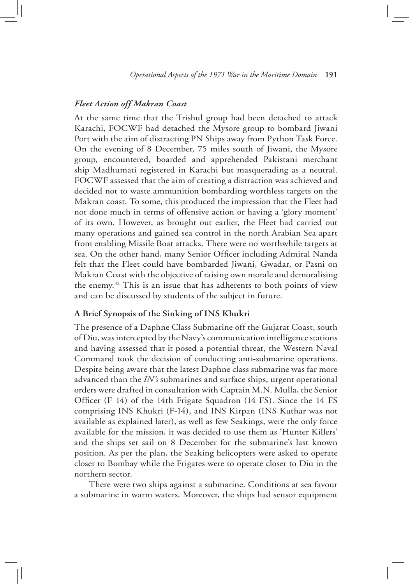### *Fleet Action off Makran Coast*

At the same time that the Trishul group had been detached to attack Karachi, FOCWF had detached the Mysore group to bombard Jiwani Port with the aim of distracting PN Ships away from Python Task Force. On the evening of 8 December, 75 miles south of Jiwani, the Mysore group, encountered, boarded and apprehended Pakistani merchant ship Madhumati registered in Karachi but masquerading as a neutral. FOCWF assessed that the aim of creating a distraction was achieved and decided not to waste ammunition bombarding worthless targets on the Makran coast. To some, this produced the impression that the Fleet had not done much in terms of offensive action or having a 'glory moment' of its own. However, as brought out earlier, the Fleet had carried out many operations and gained sea control in the north Arabian Sea apart from enabling Missile Boat attacks. There were no worthwhile targets at sea. On the other hand, many Senior Officer including Admiral Nanda felt that the Fleet could have bombarded Jiwani, Gwadar, or Pasni on Makran Coast with the objective of raising own morale and demoralising the enemy.32 This is an issue that has adherents to both points of view and can be discussed by students of the subject in future.

### **A Brief Synopsis of the Sinking of INS Khukri**

The presence of a Daphne Class Submarine off the Gujarat Coast, south of Diu, was intercepted by the Navy's communication intelligence stations and having assessed that it posed a potential threat, the Western Naval Command took the decision of conducting anti-submarine operations. Despite being aware that the latest Daphne class submarine was far more advanced than the *IN's* submarines and surface ships, urgent operational orders were drafted in consultation with Captain M.N. Mulla, the Senior Officer (F 14) of the 14th Frigate Squadron (14 FS). Since the 14 FS comprising INS Khukri (F-14), and INS Kirpan (INS Kuthar was not available as explained later), as well as few Seakings, were the only force available for the mission, it was decided to use them as 'Hunter Killers' and the ships set sail on 8 December for the submarine's last known position. As per the plan, the Seaking helicopters were asked to operate closer to Bombay while the Frigates were to operate closer to Diu in the northern sector.

There were two ships against a submarine. Conditions at sea favour a submarine in warm waters. Moreover, the ships had sensor equipment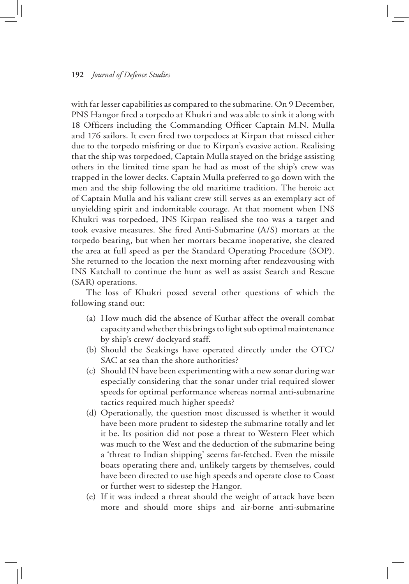with far lesser capabilities as compared to the submarine. On 9 December, PNS Hangor fired a torpedo at Khukri and was able to sink it along with 18 Officers including the Commanding Officer Captain M.N. Mulla and 176 sailors. It even fired two torpedoes at Kirpan that missed either due to the torpedo misfiring or due to Kirpan's evasive action. Realising that the ship was torpedoed, Captain Mulla stayed on the bridge assisting others in the limited time span he had as most of the ship's crew was trapped in the lower decks. Captain Mulla preferred to go down with the men and the ship following the old maritime tradition*.* The heroic act of Captain Mulla and his valiant crew still serves as an exemplary act of unyielding spirit and indomitable courage. At that moment when INS Khukri was torpedoed, INS Kirpan realised she too was a target and took evasive measures. She fired Anti-Submarine (A/S) mortars at the torpedo bearing, but when her mortars became inoperative, she cleared the area at full speed as per the Standard Operating Procedure (SOP). She returned to the location the next morning after rendezvousing with INS Katchall to continue the hunt as well as assist Search and Rescue (SAR) operations.

The loss of Khukri posed several other questions of which the following stand out:

- (a) How much did the absence of Kuthar affect the overall combat capacity and whether this brings to light sub optimal maintenance by ship's crew/ dockyard staff.
- (b) Should the Seakings have operated directly under the OTC/ SAC at sea than the shore authorities?
- (c) Should IN have been experimenting with a new sonar during war especially considering that the sonar under trial required slower speeds for optimal performance whereas normal anti-submarine tactics required much higher speeds?
- (d) Operationally, the question most discussed is whether it would have been more prudent to sidestep the submarine totally and let it be. Its position did not pose a threat to Western Fleet which was much to the West and the deduction of the submarine being a 'threat to Indian shipping' seems far-fetched. Even the missile boats operating there and, unlikely targets by themselves, could have been directed to use high speeds and operate close to Coast or further west to sidestep the Hangor.
- (e) If it was indeed a threat should the weight of attack have been more and should more ships and air-borne anti-submarine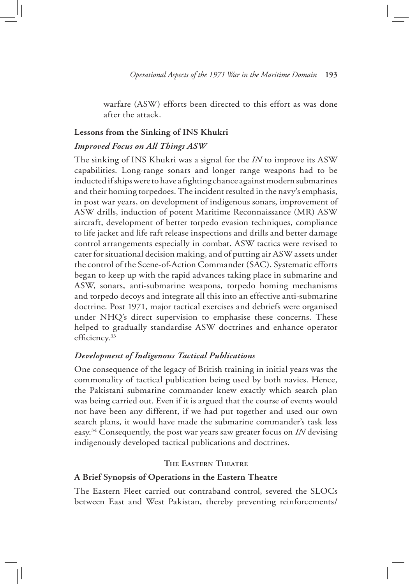warfare (ASW) efforts been directed to this effort as was done after the attack.

### **Lessons from the Sinking of INS Khukri**

### *Improved Focus on All Things ASW*

The sinking of INS Khukri was a signal for the *IN* to improve its ASW capabilities. Long-range sonars and longer range weapons had to be inducted if ships were to have a fighting chance against modern submarines and their homing torpedoes. The incident resulted in the navy's emphasis, in post war years, on development of indigenous sonars, improvement of ASW drills, induction of potent Maritime Reconnaissance (MR) ASW aircraft, development of better torpedo evasion techniques, compliance to life jacket and life raft release inspections and drills and better damage control arrangements especially in combat. ASW tactics were revised to cater for situational decision making, and of putting air ASW assets under the control of the Scene-of-Action Commander (SAC). Systematic efforts began to keep up with the rapid advances taking place in submarine and ASW, sonars, anti-submarine weapons, torpedo homing mechanisms and torpedo decoys and integrate all this into an effective anti-submarine doctrine. Post 1971, major tactical exercises and debriefs were organised under NHQ's direct supervision to emphasise these concerns. These helped to gradually standardise ASW doctrines and enhance operator efficiency.<sup>33</sup>

### *Development of Indigenous Tactical Publications*

One consequence of the legacy of British training in initial years was the commonality of tactical publication being used by both navies. Hence, the Pakistani submarine commander knew exactly which search plan was being carried out. Even if it is argued that the course of events would not have been any different, if we had put together and used our own search plans, it would have made the submarine commander's task less easy.34 Consequently, the post war years saw greater focus on *IN* devising indigenously developed tactical publications and doctrines.

### **The Eastern Theatre**

#### **A Brief Synopsis of Operations in the Eastern Theatre**

The Eastern Fleet carried out contraband control, severed the SLOCs between East and West Pakistan, thereby preventing reinforcements/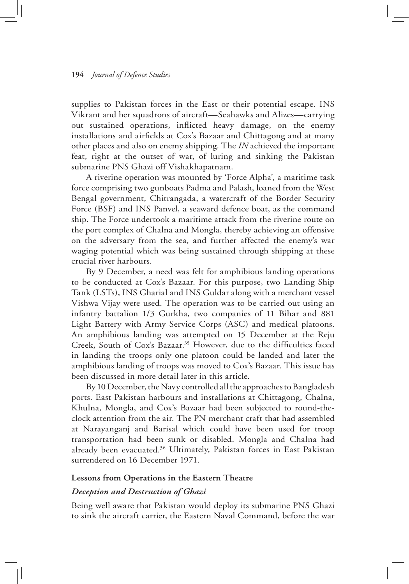supplies to Pakistan forces in the East or their potential escape. INS Vikrant and her squadrons of aircraft—Seahawks and Alizes—carrying out sustained operations, inflicted heavy damage, on the enemy installations and airfields at Cox's Bazaar and Chittagong and at many other places and also on enemy shipping. The *IN* achieved the important feat, right at the outset of war, of luring and sinking the Pakistan submarine PNS Ghazi off Vishakhapatnam.

A riverine operation was mounted by 'Force Alpha', a maritime task force comprising two gunboats Padma and Palash, loaned from the West Bengal government, Chitrangada, a watercraft of the Border Security Force (BSF) and INS Panvel, a seaward defence boat, as the command ship. The Force undertook a maritime attack from the riverine route on the port complex of Chalna and Mongla, thereby achieving an offensive on the adversary from the sea, and further affected the enemy's war waging potential which was being sustained through shipping at these crucial river harbours.

By 9 December, a need was felt for amphibious landing operations to be conducted at Cox's Bazaar. For this purpose, two Landing Ship Tank (LSTs), INS Gharial and INS Guldar along with a merchant vessel Vishwa Vijay were used. The operation was to be carried out using an infantry battalion 1/3 Gurkha, two companies of 11 Bihar and 881 Light Battery with Army Service Corps (ASC) and medical platoons. An amphibious landing was attempted on 15 December at the Reju Creek, South of Cox's Bazaar.35 However, due to the difficulties faced in landing the troops only one platoon could be landed and later the amphibious landing of troops was moved to Cox's Bazaar. This issue has been discussed in more detail later in this article.

By 10 December, the Navy controlled all the approaches to Bangladesh ports. East Pakistan harbours and installations at Chittagong, Chalna, Khulna, Mongla, and Cox's Bazaar had been subjected to round-theclock attention from the air. The PN merchant craft that had assembled at Narayanganj and Barisal which could have been used for troop transportation had been sunk or disabled. Mongla and Chalna had already been evacuated.<sup>36</sup> Ultimately, Pakistan forces in East Pakistan surrendered on 16 December 1971.

### **Lessons from Operations in the Eastern Theatre**

#### *Deception and Destruction of Ghazi*

Being well aware that Pakistan would deploy its submarine PNS Ghazi to sink the aircraft carrier, the Eastern Naval Command, before the war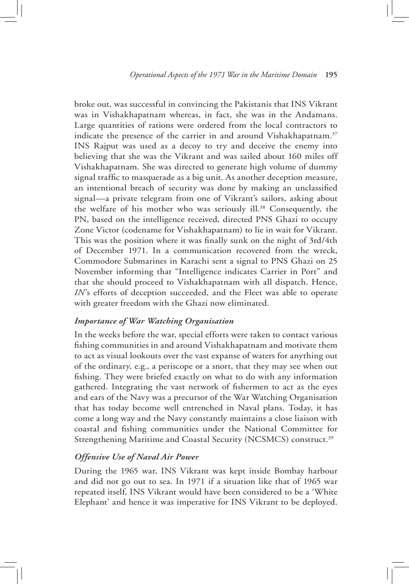broke out, was successful in convincing the Pakistanis that INS Vikrant was in Vishakhapatnam whereas, in fact, she was in the Andamans. Large quantities of rations were ordered from the local contractors to indicate the presence of the carrier in and around Vishakhapatnam.<sup>37</sup> INS Rajput was used as a decoy to try and deceive the enemy into believing that she was the Vikrant and was sailed about 160 miles off Vishakhapatnam. She was directed to generate high volume of dummy signal traffic to masquerade as a big unit. As another deception measure, an intentional breach of security was done by making an unclassified signal—a private telegram from one of Vikrant's sailors, asking about the welfare of his mother who was seriously ill.38 Consequently, the PN, based on the intelligence received, directed PNS Ghazi to occupy Zone Victor (codename for Vishakhapatnam) to lie in wait for Vikrant. This was the position where it was finally sunk on the night of 3rd/4th of December 1971. In a communication recovered from the wreck, Commodore Submarines in Karachi sent a signal to PNS Ghazi on 25 November informing that "Intelligence indicates Carrier in Port" and that she should proceed to Vishakhapatnam with all dispatch. Hence, *IN*'s efforts of deception succeeded, and the Fleet was able to operate with greater freedom with the Ghazi now eliminated.

### *Importance of War Watching Organisation*

In the weeks before the war, special efforts were taken to contact various fishing communities in and around Vishakhapatnam and motivate them to act as visual lookouts over the vast expanse of waters for anything out of the ordinary, e.g., a periscope or a snort, that they may see when out fishing. They were briefed exactly on what to do with any information gathered. Integrating the vast network of fishermen to act as the eyes and ears of the Navy was a precursor of the War Watching Organisation that has today become well entrenched in Naval plans. Today, it has come a long way and the Navy constantly maintains a close liaison with coastal and fishing communities under the National Committee for Strengthening Maritime and Coastal Security (NCSMCS) construct.<sup>39</sup>

### *Offensive Use of Naval Air Power*

During the 1965 war, INS Vikrant was kept inside Bombay harbour and did not go out to sea. In 1971 if a situation like that of 1965 war repeated itself, INS Vikrant would have been considered to be a 'White Elephant' and hence it was imperative for INS Vikrant to be deployed.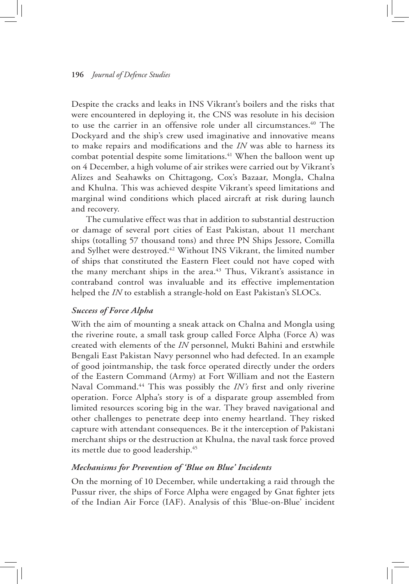Despite the cracks and leaks in INS Vikrant's boilers and the risks that were encountered in deploying it, the CNS was resolute in his decision to use the carrier in an offensive role under all circumstances.<sup>40</sup> The Dockyard and the ship's crew used imaginative and innovative means to make repairs and modifications and the *IN* was able to harness its combat potential despite some limitations.<sup>41</sup> When the balloon went up on 4 December, a high volume of air strikes were carried out by Vikrant's Alizes and Seahawks on Chittagong, Cox's Bazaar, Mongla, Chalna and Khulna. This was achieved despite Vikrant's speed limitations and marginal wind conditions which placed aircraft at risk during launch and recovery.

The cumulative effect was that in addition to substantial destruction or damage of several port cities of East Pakistan, about 11 merchant ships (totalling 57 thousand tons) and three PN Ships Jessore, Comilla and Sylhet were destroyed.<sup>42</sup> Without INS Vikrant, the limited number of ships that constituted the Eastern Fleet could not have coped with the many merchant ships in the area.<sup>43</sup> Thus, Vikrant's assistance in contraband control was invaluable and its effective implementation helped the *IN* to establish a strangle-hold on East Pakistan's SLOCs.

### *Success of Force Alpha*

With the aim of mounting a sneak attack on Chalna and Mongla using the riverine route, a small task group called Force Alpha (Force A) was created with elements of the *IN* personnel, Mukti Bahini and erstwhile Bengali East Pakistan Navy personnel who had defected. In an example of good jointmanship, the task force operated directly under the orders of the Eastern Command (Army) at Fort William and not the Eastern Naval Command.<sup>44</sup> This was possibly the *IN's* first and only riverine operation. Force Alpha's story is of a disparate group assembled from limited resources scoring big in the war. They braved navigational and other challenges to penetrate deep into enemy heartland. They risked capture with attendant consequences. Be it the interception of Pakistani merchant ships or the destruction at Khulna, the naval task force proved its mettle due to good leadership.45

### *Mechanisms for Prevention of 'Blue on Blue' Incidents*

On the morning of 10 December, while undertaking a raid through the Pussur river, the ships of Force Alpha were engaged by Gnat fighter jets of the Indian Air Force (IAF). Analysis of this 'Blue-on-Blue' incident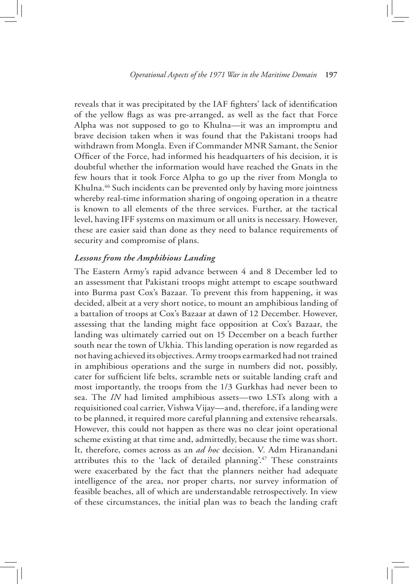reveals that it was precipitated by the IAF fighters' lack of identification of the yellow flags as was pre-arranged, as well as the fact that Force Alpha was not supposed to go to Khulna—it was an impromptu and brave decision taken when it was found that the Pakistani troops had withdrawn from Mongla. Even if Commander MNR Samant, the Senior Officer of the Force, had informed his headquarters of his decision, it is doubtful whether the information would have reached the Gnats in the few hours that it took Force Alpha to go up the river from Mongla to Khulna.<sup>46</sup> Such incidents can be prevented only by having more jointness whereby real-time information sharing of ongoing operation in a theatre is known to all elements of the three services. Further, at the tactical level, having IFF systems on maximum or all units is necessary. However, these are easier said than done as they need to balance requirements of security and compromise of plans.

### *Lessons from the Amphibious Landing*

The Eastern Army's rapid advance between 4 and 8 December led to an assessment that Pakistani troops might attempt to escape southward into Burma past Cox's Bazaar. To prevent this from happening, it was decided, albeit at a very short notice, to mount an amphibious landing of a battalion of troops at Cox's Bazaar at dawn of 12 December. However, assessing that the landing might face opposition at Cox's Bazaar, the landing was ultimately carried out on 15 December on a beach further south near the town of Ukhia. This landing operation is now regarded as not having achieved its objectives. Army troops earmarked had not trained in amphibious operations and the surge in numbers did not, possibly, cater for sufficient life belts, scramble nets or suitable landing craft and most importantly, the troops from the 1/3 Gurkhas had never been to sea. The *IN* had limited amphibious assets—two LSTs along with a requisitioned coal carrier, Vishwa Vijay—and, therefore, if a landing were to be planned, it required more careful planning and extensive rehearsals. However, this could not happen as there was no clear joint operational scheme existing at that time and, admittedly, because the time was short. It, therefore, comes across as an *ad hoc* decision. V. Adm Hiranandani attributes this to the 'lack of detailed planning'.47 These constraints were exacerbated by the fact that the planners neither had adequate intelligence of the area, nor proper charts, nor survey information of feasible beaches, all of which are understandable retrospectively. In view of these circumstances, the initial plan was to beach the landing craft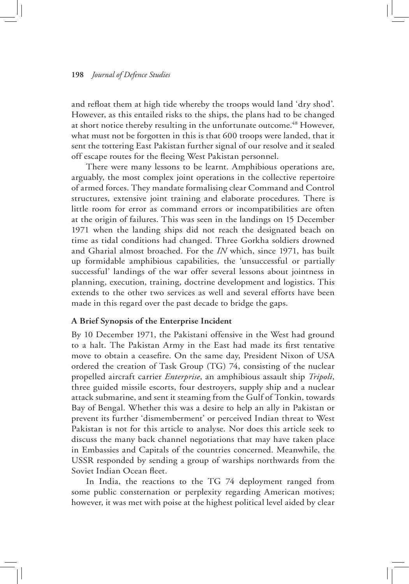and refloat them at high tide whereby the troops would land 'dry shod'. However, as this entailed risks to the ships, the plans had to be changed at short notice thereby resulting in the unfortunate outcome.<sup>48</sup> However, what must not be forgotten in this is that 600 troops were landed, that it sent the tottering East Pakistan further signal of our resolve and it sealed off escape routes for the fleeing West Pakistan personnel.

There were many lessons to be learnt. Amphibious operations are, arguably, the most complex joint operations in the collective repertoire of armed forces. They mandate formalising clear Command and Control structures, extensive joint training and elaborate procedures. There is little room for error as command errors or incompatibilities are often at the origin of failures. This was seen in the landings on 15 December 1971 when the landing ships did not reach the designated beach on time as tidal conditions had changed. Three Gorkha soldiers drowned and Gharial almost broached. For the *IN* which, since 1971, has built up formidable amphibious capabilities, the 'unsuccessful or partially successful' landings of the war offer several lessons about jointness in planning, execution, training, doctrine development and logistics. This extends to the other two services as well and several efforts have been made in this regard over the past decade to bridge the gaps.

#### **A Brief Synopsis of the Enterprise Incident**

By 10 December 1971, the Pakistani offensive in the West had ground to a halt. The Pakistan Army in the East had made its first tentative move to obtain a ceasefire. On the same day, President Nixon of USA ordered the creation of Task Group (TG) 74, consisting of the nuclear propelled aircraft carrier *Enterprise*, an amphibious assault ship *Tripoli*, three guided missile escorts, four destroyers, supply ship and a nuclear attack submarine, and sent it steaming from the Gulf of Tonkin, towards Bay of Bengal. Whether this was a desire to help an ally in Pakistan or prevent its further 'dismemberment' or perceived Indian threat to West Pakistan is not for this article to analyse. Nor does this article seek to discuss the many back channel negotiations that may have taken place in Embassies and Capitals of the countries concerned. Meanwhile, the USSR responded by sending a group of warships northwards from the Soviet Indian Ocean fleet.

In India, the reactions to the TG 74 deployment ranged from some public consternation or perplexity regarding American motives; however, it was met with poise at the highest political level aided by clear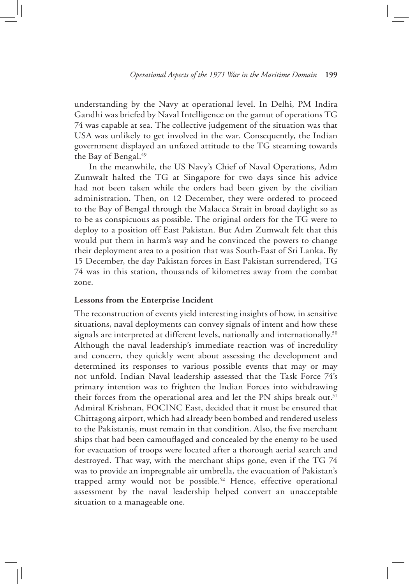understanding by the Navy at operational level. In Delhi, PM Indira Gandhi was briefed by Naval Intelligence on the gamut of operations TG 74 was capable at sea. The collective judgement of the situation was that USA was unlikely to get involved in the war. Consequently, the Indian government displayed an unfazed attitude to the TG steaming towards the Bay of Bengal.<sup>49</sup>

In the meanwhile, the US Navy's Chief of Naval Operations, Adm Zumwalt halted the TG at Singapore for two days since his advice had not been taken while the orders had been given by the civilian administration. Then, on 12 December, they were ordered to proceed to the Bay of Bengal through the Malacca Strait in broad daylight so as to be as conspicuous as possible. The original orders for the TG were to deploy to a position off East Pakistan. But Adm Zumwalt felt that this would put them in harm's way and he convinced the powers to change their deployment area to a position that was South-East of Sri Lanka. By 15 December, the day Pakistan forces in East Pakistan surrendered, TG 74 was in this station, thousands of kilometres away from the combat zone.

### **Lessons from the Enterprise Incident**

The reconstruction of events yield interesting insights of how, in sensitive situations, naval deployments can convey signals of intent and how these signals are interpreted at different levels, nationally and internationally.<sup>50</sup> Although the naval leadership's immediate reaction was of incredulity and concern, they quickly went about assessing the development and determined its responses to various possible events that may or may not unfold. Indian Naval leadership assessed that the Task Force 74's primary intention was to frighten the Indian Forces into withdrawing their forces from the operational area and let the PN ships break out.<sup>51</sup> Admiral Krishnan, FOCINC East, decided that it must be ensured that Chittagong airport, which had already been bombed and rendered useless to the Pakistanis, must remain in that condition. Also, the five merchant ships that had been camouflaged and concealed by the enemy to be used for evacuation of troops were located after a thorough aerial search and destroyed. That way, with the merchant ships gone, even if the TG 74 was to provide an impregnable air umbrella, the evacuation of Pakistan's trapped army would not be possible.<sup>52</sup> Hence, effective operational assessment by the naval leadership helped convert an unacceptable situation to a manageable one.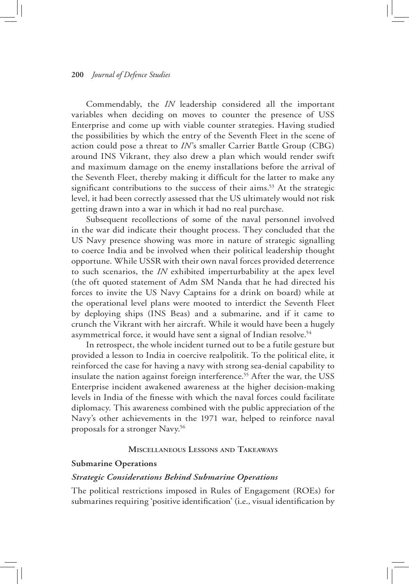Commendably, the *IN* leadership considered all the important variables when deciding on moves to counter the presence of USS Enterprise and come up with viable counter strategies. Having studied the possibilities by which the entry of the Seventh Fleet in the scene of action could pose a threat to *IN*'s smaller Carrier Battle Group (CBG) around INS Vikrant, they also drew a plan which would render swift and maximum damage on the enemy installations before the arrival of the Seventh Fleet, thereby making it difficult for the latter to make any significant contributions to the success of their aims.<sup>53</sup> At the strategic level, it had been correctly assessed that the US ultimately would not risk getting drawn into a war in which it had no real purchase.

Subsequent recollections of some of the naval personnel involved in the war did indicate their thought process. They concluded that the US Navy presence showing was more in nature of strategic signalling to coerce India and be involved when their political leadership thought opportune. While USSR with their own naval forces provided deterrence to such scenarios, the *IN* exhibited imperturbability at the apex level (the oft quoted statement of Adm SM Nanda that he had directed his forces to invite the US Navy Captains for a drink on board) while at the operational level plans were mooted to interdict the Seventh Fleet by deploying ships (INS Beas) and a submarine, and if it came to crunch the Vikrant with her aircraft. While it would have been a hugely asymmetrical force, it would have sent a signal of Indian resolve.<sup>54</sup>

In retrospect, the whole incident turned out to be a futile gesture but provided a lesson to India in coercive realpolitik. To the political elite, it reinforced the case for having a navy with strong sea-denial capability to insulate the nation against foreign interference.<sup>55</sup> After the war, the USS Enterprise incident awakened awareness at the higher decision-making levels in India of the finesse with which the naval forces could facilitate diplomacy. This awareness combined with the public appreciation of the Navy's other achievements in the 1971 war, helped to reinforce naval proposals for a stronger Navy.56

### **Miscellaneous Lessons and Takeaways**

### **Submarine Operations**

#### *Strategic Considerations Behind Submarine Operations*

The political restrictions imposed in Rules of Engagement (ROEs) for submarines requiring 'positive identification' (i.e., visual identification by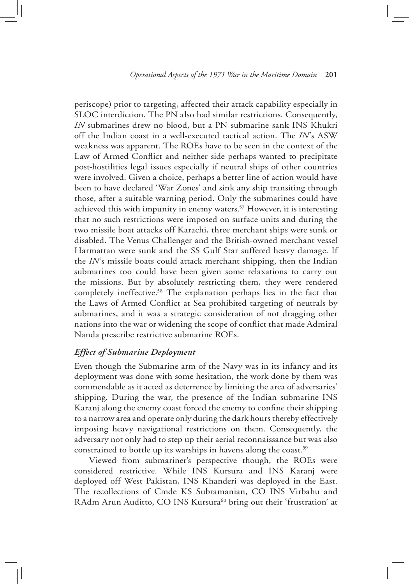periscope) prior to targeting, affected their attack capability especially in SLOC interdiction. The PN also had similar restrictions. Consequently, *IN* submarines drew no blood, but a PN submarine sank INS Khukri off the Indian coast in a well-executed tactical action. The *IN*'s ASW weakness was apparent. The ROEs have to be seen in the context of the Law of Armed Conflict and neither side perhaps wanted to precipitate post-hostilities legal issues especially if neutral ships of other countries were involved. Given a choice, perhaps a better line of action would have been to have declared 'War Zones' and sink any ship transiting through those, after a suitable warning period. Only the submarines could have achieved this with impunity in enemy waters.57 However, it is interesting that no such restrictions were imposed on surface units and during the two missile boat attacks off Karachi, three merchant ships were sunk or disabled. The Venus Challenger and the British-owned merchant vessel Harmattan were sunk and the SS Gulf Star suffered heavy damage. If the *IN*'s missile boats could attack merchant shipping, then the Indian submarines too could have been given some relaxations to carry out the missions. But by absolutely restricting them, they were rendered completely ineffective.58 The explanation perhaps lies in the fact that the Laws of Armed Conflict at Sea prohibited targeting of neutrals by submarines, and it was a strategic consideration of not dragging other nations into the war or widening the scope of conflict that made Admiral Nanda prescribe restrictive submarine ROEs.

# *Effect of Submarine Deployment*

Even though the Submarine arm of the Navy was in its infancy and its deployment was done with some hesitation, the work done by them was commendable as it acted as deterrence by limiting the area of adversaries' shipping. During the war, the presence of the Indian submarine INS Karanj along the enemy coast forced the enemy to confine their shipping to a narrow area and operate only during the dark hours thereby effectively imposing heavy navigational restrictions on them. Consequently, the adversary not only had to step up their aerial reconnaissance but was also constrained to bottle up its warships in havens along the coast.<sup>59</sup>

Viewed from submariner's perspective though, the ROEs were considered restrictive. While INS Kursura and INS Karanj were deployed off West Pakistan, INS Khanderi was deployed in the East. The recollections of Cmde KS Subramanian, CO INS Virbahu and RAdm Arun Auditto, CO INS Kursura<sup>60</sup> bring out their 'frustration' at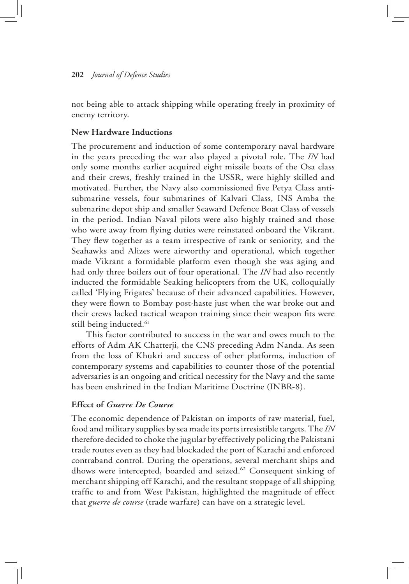not being able to attack shipping while operating freely in proximity of enemy territory.

### **New Hardware Inductions**

The procurement and induction of some contemporary naval hardware in the years preceding the war also played a pivotal role. The *IN* had only some months earlier acquired eight missile boats of the Osa class and their crews, freshly trained in the USSR, were highly skilled and motivated. Further, the Navy also commissioned five Petya Class antisubmarine vessels, four submarines of Kalvari Class, INS Amba the submarine depot ship and smaller Seaward Defence Boat Class of vessels in the period. Indian Naval pilots were also highly trained and those who were away from flying duties were reinstated onboard the Vikrant. They flew together as a team irrespective of rank or seniority, and the Seahawks and Alizes were airworthy and operational, which together made Vikrant a formidable platform even though she was aging and had only three boilers out of four operational. The *IN* had also recently inducted the formidable Seaking helicopters from the UK, colloquially called 'Flying Frigates' because of their advanced capabilities. However, they were flown to Bombay post-haste just when the war broke out and their crews lacked tactical weapon training since their weapon fits were still being inducted.<sup>61</sup>

This factor contributed to success in the war and owes much to the efforts of Adm AK Chatterji, the CNS preceding Adm Nanda. As seen from the loss of Khukri and success of other platforms, induction of contemporary systems and capabilities to counter those of the potential adversaries is an ongoing and critical necessity for the Navy and the same has been enshrined in the Indian Maritime Doctrine (INBR-8).

### **Effect of** *Guerre De Course*

The economic dependence of Pakistan on imports of raw material, fuel, food and military supplies by sea made its ports irresistible targets. The *IN* therefore decided to choke the jugular by effectively policing the Pakistani trade routes even as they had blockaded the port of Karachi and enforced contraband control. During the operations, several merchant ships and dhows were intercepted, boarded and seized.62 Consequent sinking of merchant shipping off Karachi, and the resultant stoppage of all shipping traffic to and from West Pakistan, highlighted the magnitude of effect that *guerre de course* (trade warfare) can have on a strategic level.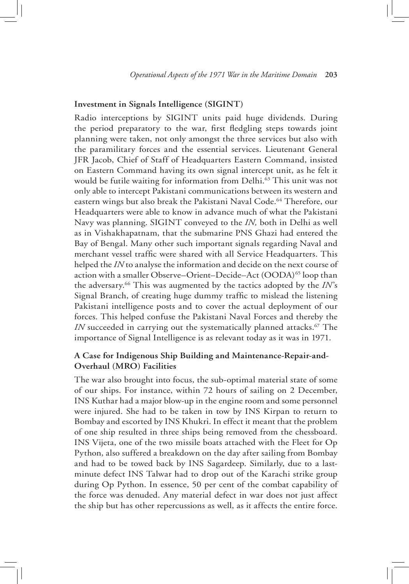#### **Investment in Signals Intelligence (SIGINT)**

Radio interceptions by SIGINT units paid huge dividends. During the period preparatory to the war, first fledgling steps towards joint planning were taken, not only amongst the three services but also with the paramilitary forces and the essential services. Lieutenant General JFR Jacob, Chief of Staff of Headquarters Eastern Command, insisted on Eastern Command having its own signal intercept unit, as he felt it would be futile waiting for information from Delhi.<sup>63</sup> This unit was not only able to intercept Pakistani communications between its western and eastern wings but also break the Pakistani Naval Code.<sup>64</sup> Therefore, our Headquarters were able to know in advance much of what the Pakistani Navy was planning. SIGINT conveyed to the *IN,* both in Delhi as well as in Vishakhapatnam, that the submarine PNS Ghazi had entered the Bay of Bengal. Many other such important signals regarding Naval and merchant vessel traffic were shared with all Service Headquarters. This helped the *IN* to analyse the information and decide on the next course of action with a smaller Observe–Orient–Decide–Act (OODA)<sup>65</sup> loop than the adversary.66 This was augmented by the tactics adopted by the *IN*'s Signal Branch, of creating huge dummy traffic to mislead the listening Pakistani intelligence posts and to cover the actual deployment of our forces. This helped confuse the Pakistani Naval Forces and thereby the *IN* succeeded in carrying out the systematically planned attacks.<sup>67</sup> The importance of Signal Intelligence is as relevant today as it was in 1971.

# **A Case for Indigenous Ship Building and Maintenance-Repair-and-Overhaul (MRO) Facilities**

The war also brought into focus, the sub-optimal material state of some of our ships. For instance, within 72 hours of sailing on 2 December, INS Kuthar had a major blow-up in the engine room and some personnel were injured. She had to be taken in tow by INS Kirpan to return to Bombay and escorted by INS Khukri. In effect it meant that the problem of one ship resulted in three ships being removed from the chessboard. INS Vijeta, one of the two missile boats attached with the Fleet for Op Python, also suffered a breakdown on the day after sailing from Bombay and had to be towed back by INS Sagardeep. Similarly, due to a lastminute defect INS Talwar had to drop out of the Karachi strike group during Op Python. In essence, 50 per cent of the combat capability of the force was denuded. Any material defect in war does not just affect the ship but has other repercussions as well, as it affects the entire force.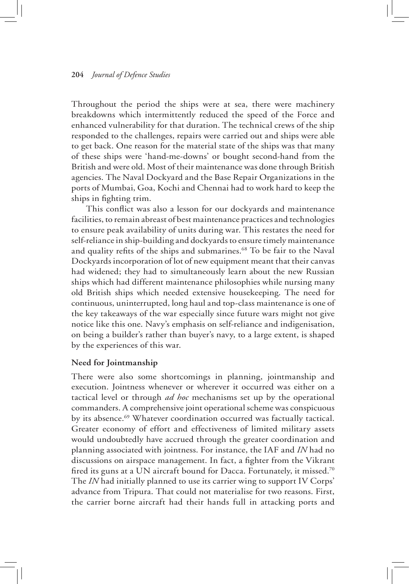Throughout the period the ships were at sea, there were machinery breakdowns which intermittently reduced the speed of the Force and enhanced vulnerability for that duration. The technical crews of the ship responded to the challenges, repairs were carried out and ships were able to get back. One reason for the material state of the ships was that many of these ships were 'hand-me-downs' or bought second-hand from the British and were old. Most of their maintenance was done through British agencies. The Naval Dockyard and the Base Repair Organizations in the ports of Mumbai, Goa, Kochi and Chennai had to work hard to keep the ships in fighting trim.

This conflict was also a lesson for our dockyards and maintenance facilities, to remain abreast of best maintenance practices and technologies to ensure peak availability of units during war. This restates the need for self-reliance in ship-building and dockyards to ensure timely maintenance and quality refits of the ships and submarines.<sup>68</sup> To be fair to the Naval Dockyards incorporation of lot of new equipment meant that their canvas had widened; they had to simultaneously learn about the new Russian ships which had different maintenance philosophies while nursing many old British ships which needed extensive housekeeping. The need for continuous, uninterrupted, long haul and top-class maintenance is one of the key takeaways of the war especially since future wars might not give notice like this one. Navy's emphasis on self-reliance and indigenisation, on being a builder's rather than buyer's navy, to a large extent, is shaped by the experiences of this war.

#### **Need for Jointmanship**

There were also some shortcomings in planning, jointmanship and execution. Jointness whenever or wherever it occurred was either on a tactical level or through *ad hoc* mechanisms set up by the operational commanders. A comprehensive joint operational scheme was conspicuous by its absence.<sup>69</sup> Whatever coordination occurred was factually tactical. Greater economy of effort and effectiveness of limited military assets would undoubtedly have accrued through the greater coordination and planning associated with jointness. For instance, the IAF and *IN* had no discussions on airspace management. In fact, a fighter from the Vikrant fired its guns at a UN aircraft bound for Dacca. Fortunately, it missed.<sup>70</sup> The *IN* had initially planned to use its carrier wing to support IV Corps' advance from Tripura. That could not materialise for two reasons. First, the carrier borne aircraft had their hands full in attacking ports and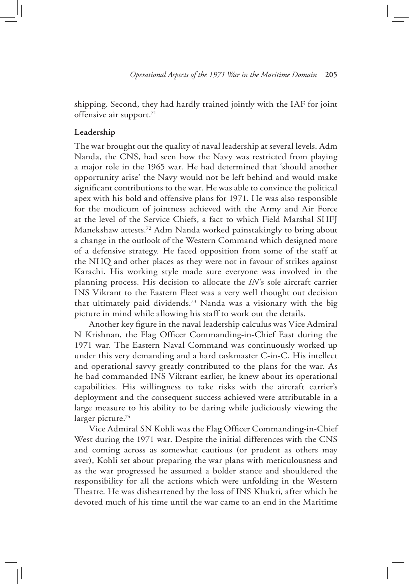shipping. Second, they had hardly trained jointly with the IAF for joint offensive air support.<sup>71</sup>

## **Leadership**

The war brought out the quality of naval leadership at several levels. Adm Nanda, the CNS, had seen how the Navy was restricted from playing a major role in the 1965 war. He had determined that 'should another opportunity arise' the Navy would not be left behind and would make significant contributions to the war. He was able to convince the political apex with his bold and offensive plans for 1971. He was also responsible for the modicum of jointness achieved with the Army and Air Force at the level of the Service Chiefs, a fact to which Field Marshal SHFJ Manekshaw attests.72 Adm Nanda worked painstakingly to bring about a change in the outlook of the Western Command which designed more of a defensive strategy*.* He faced opposition from some of the staff at the NHQ and other places as they were not in favour of strikes against Karachi. His working style made sure everyone was involved in the planning process. His decision to allocate the *IN*'s sole aircraft carrier INS Vikrant to the Eastern Fleet was a very well thought out decision that ultimately paid dividends.73 Nanda was a visionary with the big picture in mind while allowing his staff to work out the details.

Another key figure in the naval leadership calculus was Vice Admiral N Krishnan, the Flag Officer Commanding-in-Chief East during the 1971 war. The Eastern Naval Command was continuously worked up under this very demanding and a hard taskmaster C-in-C. His intellect and operational savvy greatly contributed to the plans for the war. As he had commanded INS Vikrant earlier, he knew about its operational capabilities. His willingness to take risks with the aircraft carrier's deployment and the consequent success achieved were attributable in a large measure to his ability to be daring while judiciously viewing the larger picture. $74$ 

Vice Admiral SN Kohli was the Flag Officer Commanding-in-Chief West during the 1971 war. Despite the initial differences with the CNS and coming across as somewhat cautious (or prudent as others may aver), Kohli set about preparing the war plans with meticulousness and as the war progressed he assumed a bolder stance and shouldered the responsibility for all the actions which were unfolding in the Western Theatre. He was disheartened by the loss of INS Khukri, after which he devoted much of his time until the war came to an end in the Maritime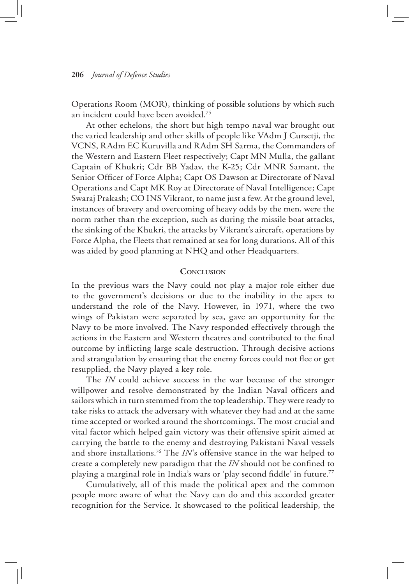Operations Room (MOR), thinking of possible solutions by which such an incident could have been avoided.75

At other echelons, the short but high tempo naval war brought out the varied leadership and other skills of people like VAdm J Cursetji, the VCNS, RAdm EC Kuruvilla and RAdm SH Sarma, the Commanders of the Western and Eastern Fleet respectively; Capt MN Mulla, the gallant Captain of Khukri; Cdr BB Yadav, the K-25; Cdr MNR Samant, the Senior Officer of Force Alpha; Capt OS Dawson at Directorate of Naval Operations and Capt MK Roy at Directorate of Naval Intelligence; Capt Swaraj Prakash; CO INS Vikrant, to name just a few. At the ground level, instances of bravery and overcoming of heavy odds by the men, were the norm rather than the exception, such as during the missile boat attacks, the sinking of the Khukri, the attacks by Vikrant's aircraft, operations by Force Alpha, the Fleets that remained at sea for long durations. All of this was aided by good planning at NHQ and other Headquarters.

### **Conclusion**

In the previous wars the Navy could not play a major role either due to the government's decisions or due to the inability in the apex to understand the role of the Navy. However, in 1971, where the two wings of Pakistan were separated by sea, gave an opportunity for the Navy to be more involved. The Navy responded effectively through the actions in the Eastern and Western theatres and contributed to the final outcome by inflicting large scale destruction. Through decisive actions and strangulation by ensuring that the enemy forces could not flee or get resupplied, the Navy played a key role.

The *IN* could achieve success in the war because of the stronger willpower and resolve demonstrated by the Indian Naval officers and sailors which in turn stemmed from the top leadership. They were ready to take risks to attack the adversary with whatever they had and at the same time accepted or worked around the shortcomings. The most crucial and vital factor which helped gain victory was their offensive spirit aimed at carrying the battle to the enemy and destroying Pakistani Naval vessels and shore installations.76 The *IN*'s offensive stance in the war helped to create a completely new paradigm that the *IN* should not be confined to playing a marginal role in India's wars or 'play second fiddle' in future.<sup>77</sup>

Cumulatively, all of this made the political apex and the common people more aware of what the Navy can do and this accorded greater recognition for the Service. It showcased to the political leadership, the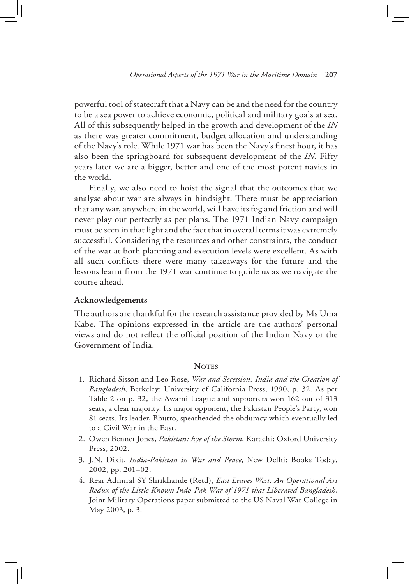powerful tool of statecraft that a Navy can be and the need for the country to be a sea power to achieve economic, political and military goals at sea. All of this subsequently helped in the growth and development of the *IN* as there was greater commitment, budget allocation and understanding of the Navy's role. While 1971 war has been the Navy's finest hour, it has also been the springboard for subsequent development of the *IN.* Fifty years later we are a bigger, better and one of the most potent navies in the world.

Finally, we also need to hoist the signal that the outcomes that we analyse about war are always in hindsight. There must be appreciation that any war, anywhere in the world, will have its fog and friction and will never play out perfectly as per plans. The 1971 Indian Navy campaign must be seen in that light and the fact that in overall terms it was extremely successful. Considering the resources and other constraints, the conduct of the war at both planning and execution levels were excellent. As with all such conflicts there were many takeaways for the future and the lessons learnt from the 1971 war continue to guide us as we navigate the course ahead.

### **Acknowledgements**

The authors are thankful for the research assistance provided by Ms Uma Kabe. The opinions expressed in the article are the authors' personal views and do not reflect the official position of the Indian Navy or the Government of India.

### **NOTES**

- 1. Richard Sisson and Leo Rose, *War and Secession: India and the Creation of Bangladesh*, Berkeley: University of California Press, 1990, p. 32. As per Table 2 on p. 32, the Awami League and supporters won 162 out of 313 seats, a clear majority. Its major opponent, the Pakistan People's Party, won 81 seats. Its leader, Bhutto, spearheaded the obduracy which eventually led to a Civil War in the East.
- 2. Owen Bennet Jones, *Pakistan: Eye of the Storm*, Karachi: Oxford University Press, 2002.
- 3. J.N. Dixit, *India-Pakistan in War and Peace*, New Delhi: Books Today, 2002, pp. 201–02.
- 4. Rear Admiral SY Shrikhande (Retd), *East Leaves West: An Operational Art Redux of the Little Known Indo-Pak War of 1971 that Liberated Bangladesh*, Joint Military Operations paper submitted to the US Naval War College in May 2003, p. 3.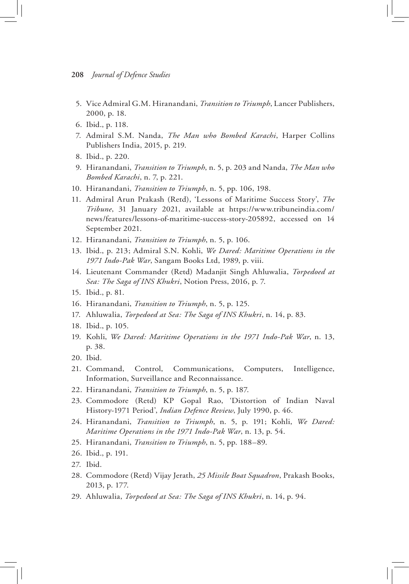- 5. Vice Admiral G.M. Hiranandani, *Transition to Triumph*, Lancer Publishers, 2000, p. 18.
- 6. Ibid., p. 118.
- 7. Admiral S.M. Nanda, *The Man who Bombed Karachi*, Harper Collins Publishers India, 2015, p. 219.
- 8. Ibid., p. 220.
- 9. Hiranandani, *Transition to Triumph*, n. 5, p. 203 and Nanda, *The Man who Bombed Karachi*, n. 7, p. 221.
- 10. Hiranandani, *Transition to Triumph*, n. 5, pp. 106, 198.
- 11. Admiral Arun Prakash (Retd), 'Lessons of Maritime Success Story', *The Tribune*, 31 January 2021, available at https://www.tribuneindia.com/ news/features/lessons-of-maritime-success-story-205892, accessed on 14 September 2021.
- 12. Hiranandani, *Transition to Triumph*, n. 5, p. 106.
- 13. Ibid., p. 213; Admiral S.N. Kohli, *We Dared: Maritime Operations in the 1971 Indo-Pak War*, Sangam Books Ltd, 1989, p. viii.
- 14. Lieutenant Commander (Retd) Madanjit Singh Ahluwalia, *Torpedoed at Sea: The Saga of INS Khukri*, Notion Press, 2016, p. 7.
- 15. Ibid., p. 81.
- 16. Hiranandani, *Transition to Triumph*, n. 5, p. 125.
- 17. Ahluwalia, *Torpedoed at Sea: The Saga of INS Khukri*, n. 14, p. 83.
- 18. Ibid., p. 105.
- 19. Kohli, *We Dared: Maritime Operations in the 1971 Indo-Pak War*, n. 13, p. 38.
- 20. Ibid.
- 21. Command, Control, Communications, Computers, Intelligence, Information, Surveillance and Reconnaissance.
- 22. Hiranandani, *Transition to Triumph*, n. 5, p. 187.
- 23. Commodore (Retd) KP Gopal Rao, 'Distortion of Indian Naval History-1971 Period', *Indian Defence Review*, July 1990, p. 46.
- 24. Hiranandani, *Transition to Triumph*, n. 5, p. 191; Kohli, *We Dared: Maritime Operations in the 1971 Indo-Pak War*, n. 13, p. 54.
- 25. Hiranandani, *Transition to Triumph*, n. 5, pp. 188–89.
- 26. Ibid., p. 191.
- 27. Ibid.
- 28. Commodore (Retd) Vijay Jerath, *25 Missile Boat Squadron*, Prakash Books, 2013, p. 177.
- 29. Ahluwalia, *Torpedoed at Sea: The Saga of INS Khukri*, n. 14, p. 94.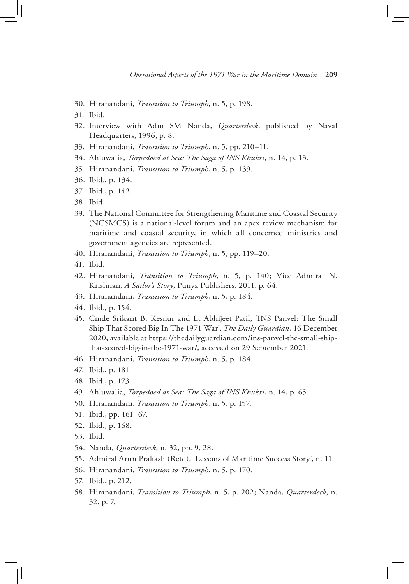- 30. Hiranandani, *Transition to Triumph*, n. 5, p. 198.
- 31. Ibid.
- 32. Interview with Adm SM Nanda, *Quarterdeck*, published by Naval Headquarters, 1996, p. 8.
- 33. Hiranandani, *Transition to Triumph*, n. 5, pp. 210–11.
- 34. Ahluwalia, *Torpedoed at Sea: The Saga of INS Khukri*, n. 14, p. 13.
- 35. Hiranandani, *Transition to Triumph*, n. 5, p. 139.
- 36. Ibid., p. 134.
- 37. Ibid., p. 142.
- 38. Ibid.
- 39. The National Committee for Strengthening Maritime and Coastal Security (NCSMCS) is a national-level forum and an apex review mechanism for maritime and coastal security, in which all concerned ministries and government agencies are represented.
- 40. Hiranandani, *Transition to Triumph*, n. 5, pp. 119–20.
- 41. Ibid.
- 42. Hiranandani, *Transition to Triumph*, n. 5, p. 140; Vice Admiral N. Krishnan, *A Sailor's Story*, Punya Publishers, 2011, p. 64.
- 43. Hiranandani, *Transition to Triumph*, n. 5, p. 184.
- 44. Ibid., p. 154.
- 45. Cmde Srikant B. Kesnur and Lt Abhijeet Patil, 'INS Panvel: The Small Ship That Scored Big In The 1971 War', *The Daily Guardian*, 16 December 2020, available at https://thedailyguardian.com/ins-panvel-the-small-shipthat-scored-big-in-the-1971-war/, accessed on 29 September 2021.
- 46. Hiranandani, *Transition to Triumph*, n. 5, p. 184.
- 47. Ibid., p. 181.
- 48. Ibid., p. 173.
- 49. Ahluwalia, *Torpedoed at Sea: The Saga of INS Khukri*, n. 14, p. 65.
- 50. Hiranandani, *Transition to Triumph*, n. 5, p. 157.
- 51. Ibid., pp. 161–67.
- 52. Ibid., p. 168.
- 53. Ibid.
- 54. Nanda, *Quarterdeck*, n. 32, pp. 9, 28.
- 55. Admiral Arun Prakash (Retd), 'Lessons of Maritime Success Story', n. 11.
- 56. Hiranandani, *Transition to Triumph*, n. 5, p. 170.
- 57. Ibid., p. 212.
- 58. Hiranandani, *Transition to Triumph*, n. 5, p. 202; Nanda, *Quarterdeck*, n. 32, p. 7.